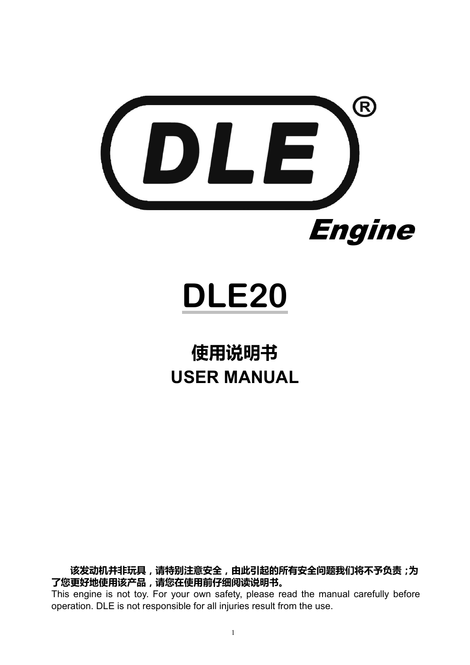

# **DLE20**

# **使用说明书 USER MANUAL**

**该发动机并非玩具,请特别注意安全,由此引起的所有安全问题我们将不予负责;为 了您更好地使用该产品,请您在使用前仔细阅读说明书。**

This engine is not toy. For your own safety, please read the manual carefully before operation. DLE is not responsible for all injuries result from the use.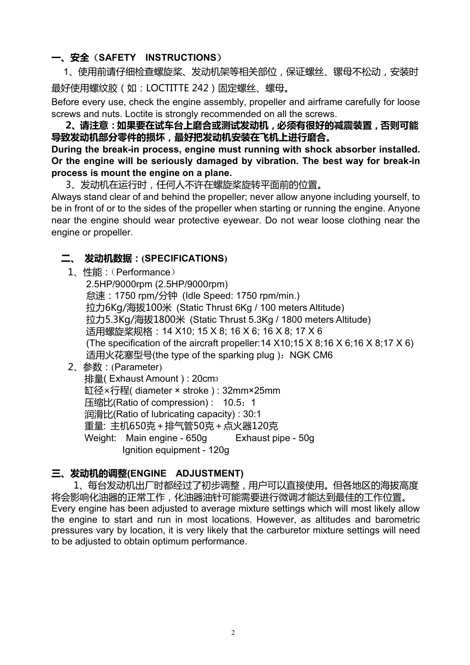# **一、安全**(**SAFETY INSTRUCTIONS**)

1、使用前请仔细检查螺旋桨、发动机架等相关部位,保证螺丝、镙母不松动,安装时 最好使用螺纹胶(如:LOCTITTE 242)固定螺丝、螺母。

Before every use, check the engine assembly, propeller and airframe carefully for loose screws and nuts. Loctite is strongly recommended on all the screws.

**2、请注意:如果要在试车台上磨合或测试发动机,必须有很好的减震装置,否则可能 导致发动机部分零件的损坏,最好把发动机安装在飞机上进行磨合。**

**During the break-in process, engine must running with shock absorber installed. Or the engine will be seriously damaged by vibration. The best way for break-in process is mount the engine on a plane.**

3、发动机在运行时,任何人不许在螺旋桨旋转平面前的位置。

Always stand clear of and behind the propeller; never allow anyone including yourself, to be in front of or to the sides of the propeller when starting or running the engine. Anyone near the engine should wear protective eyewear. Do not wear loose clothing near the engine or propeller.

# **二、 发动机数据:(SPECIFICATIONS)**

1、性能:(Performance)

2.5HP/9000rpm (2.5HP/9000rpm) 怠速:1750 rpm/分钟 (Idle Speed: 1750rpm/min.) 拉力6Kg/海拔100米 (Static Thrust 6Kg/ 100 meters Altitude) 拉力5.3Kg/海拔1800米 (Static Thrust 5.3Kg / 1800 meters Altitude) 适用螺旋桨规格:14 X10; 15 X 8; 16 X 6; 16 X 8; 17 X 6 (The specification of the aircraft propeller:  $14 \times 10$ ;  $15 \times 8$ ;  $16 \times 6$ ;  $16 \times 8$ ;  $17 \times 6$ ) 适用火花塞型号(the type of the sparking plug): NGK CM6

2、参数:(Parameter)

排量( Exhaust Amount ) : 20cm<sup>3</sup> 缸径×行程( diameter × stroke ) : 32mm×25mm 压缩比(Ratio of compression) : 10.5:1 润滑比(Ratio of lubricating capacity) : 30:1 重量: 主机650克+排气管50克+点火器120克 Weight: Main engine - 650g Exhaust pipe - 50g Ignition equipment - 120g

### **三、发动机的调整(ENGINE ADJUSTMENT)**

1、每台发动机出厂时都经过了初步调整,用户可以直接使用。但各地区的海拔高度 将会影响化油器的正常工作,化油器油针可能需要进行微调才能达到最佳的工作位置。 Every engine has been adjusted to average mixture settings which will most likely allow the engine to start and run in most locations. However, as altitudes and barometric pressures vary by location, it is very likely that the carburetor mixture settings will need to be adjusted to obtain optimum performance.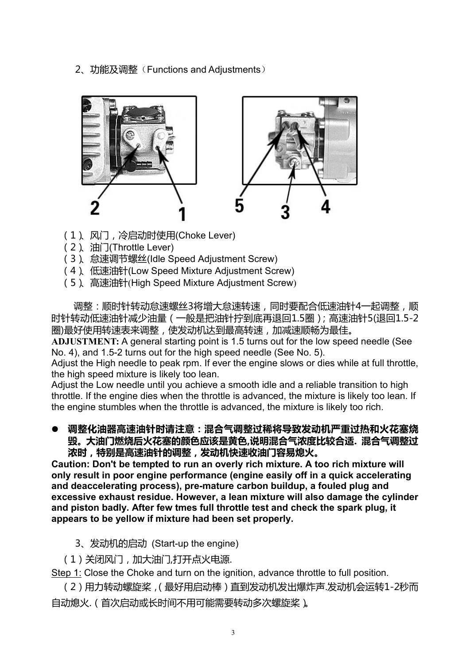2、功能及调整(Functions and Adjustments)



- (1)、风门,冷启动时使用(Choke Lever)
- (2)、油门(Throttle Lever)
- (3)、怠速调节螺丝(Idle Speed AdjustmentScrew)
- (4)、低速油针(Low Speed Mixture Adjustment Screw)
- (5) 高速油针(High Speed Mixture Adjustment Screw)

调整:顺时针转动怠速螺丝3将增大怠速转速,同时要配合低速油针4一起调整,顺 时针转动低速油针减少油量(一般是把油针拧到底再退回1.5圈);高速油针5(退回1.5-2 圈)最好使用转速表来调整,使发动机达到最高转速,加减速顺畅为最佳。

ADJUSTMENT: A general starting point is 1.5 turns out for the low speed needle (See No. 4), and 1.5-2 turns out for the high speed needle (See No. 5).

Adjust the High needle to peak rpm. If ever the engine slows or dies while at full throttle, the high speed mixture is likely too lean.

Adjust the Low needle until you achieve a smooth idle and a reliable transition to high throttle. If the engine dies when the throttle is advanced, the mixture is likely too lean. If the engine stumbles when the throttle is advanced, the mixture is likely too rich.

 **调整化油器高速油针时请注意:混合气调整过稀将导致发动机严重过热和火花塞烧 毁。大油门燃烧后火花塞的颜色应该是黄色,说明混合气浓度比较合适. 混合气调整过 浓时,特别是高速油针的调整,发动机快速收油门容易熄火。**

**Caution: Don't be tempted to run an overly rich mixture. A too rich mixture will only result in poor engine performance (engine easily off in a quick accelerating and deaccelerating process), pre-mature carbon buildup, a fouled plug and excessive exhaust residue. However, a lean mixture will also damage the cylinder and piston badly. After few tmes full throttle test and check the spark plug, it appears to be yellow ifmixture had been set properly.**

- 3、发动机的启动 (Start-up the engine)
- (1)关闭风门,加大油门,打开点火电源.

Step 1: Close the Choke and turn on the ignition, advance throttle to full position.

(2)用力转动螺旋桨,(最好用启动棒)直到发动机发出爆炸声.发动机会运转1-2秒而 自动熄火.(首次启动或长时间不用可能需要转动多次螺旋桨)。